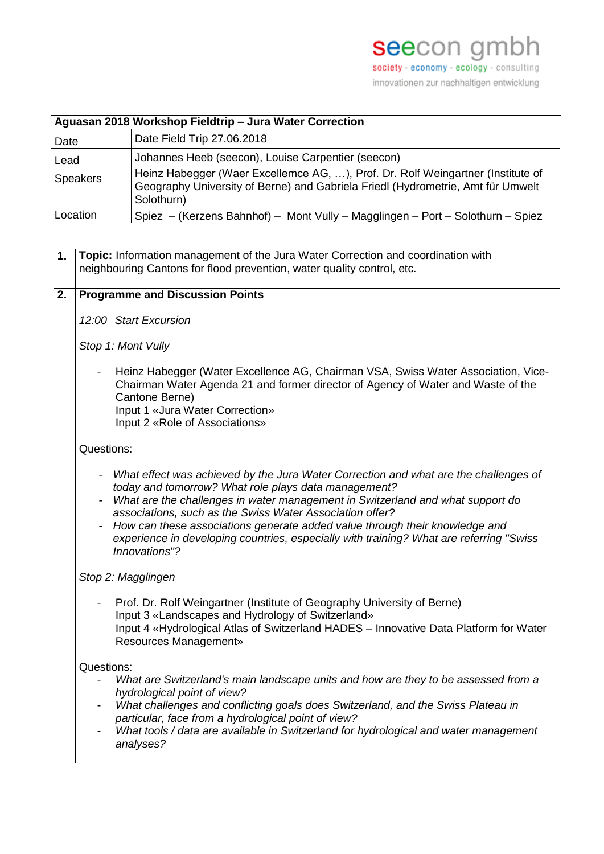innovationen zur nachhaltigen entwicklung

| Aguasan 2018 Workshop Fieldtrip - Jura Water Correction |                                                                                                                                                                                                                                        |  |  |
|---------------------------------------------------------|----------------------------------------------------------------------------------------------------------------------------------------------------------------------------------------------------------------------------------------|--|--|
| Date                                                    | Date Field Trip 27.06.2018                                                                                                                                                                                                             |  |  |
| Lead<br>Speakers                                        | Johannes Heeb (seecon), Louise Carpentier (seecon)<br>Heinz Habegger (Waer Excellemce AG, ), Prof. Dr. Rolf Weingartner (Institute of<br>Geography University of Berne) and Gabriela Friedl (Hydrometrie, Amt für Umwelt<br>Solothurn) |  |  |
| Location                                                | Spiez - (Kerzens Bahnhof) - Mont Vully - Magglingen - Port - Solothurn - Spiez                                                                                                                                                         |  |  |

| 1. | Topic: Information management of the Jura Water Correction and coordination with<br>neighbouring Cantons for flood prevention, water quality control, etc.                                                                                                                                                                                                                                                                                                                              |  |  |
|----|-----------------------------------------------------------------------------------------------------------------------------------------------------------------------------------------------------------------------------------------------------------------------------------------------------------------------------------------------------------------------------------------------------------------------------------------------------------------------------------------|--|--|
|    |                                                                                                                                                                                                                                                                                                                                                                                                                                                                                         |  |  |
| 2. | <b>Programme and Discussion Points</b>                                                                                                                                                                                                                                                                                                                                                                                                                                                  |  |  |
|    | 12:00 Start Excursion                                                                                                                                                                                                                                                                                                                                                                                                                                                                   |  |  |
|    | Stop 1: Mont Vully                                                                                                                                                                                                                                                                                                                                                                                                                                                                      |  |  |
|    | Heinz Habegger (Water Excellence AG, Chairman VSA, Swiss Water Association, Vice-<br>Chairman Water Agenda 21 and former director of Agency of Water and Waste of the<br>Cantone Berne)<br>Input 1 «Jura Water Correction»<br>Input 2 «Role of Associations»                                                                                                                                                                                                                            |  |  |
|    | Questions:                                                                                                                                                                                                                                                                                                                                                                                                                                                                              |  |  |
|    | - What effect was achieved by the Jura Water Correction and what are the challenges of<br>today and tomorrow? What role plays data management?<br>What are the challenges in water management in Switzerland and what support do<br>associations, such as the Swiss Water Association offer?<br>How can these associations generate added value through their knowledge and<br>experience in developing countries, especially with training? What are referring "Swiss<br>Innovations"? |  |  |
|    | Stop 2: Magglingen                                                                                                                                                                                                                                                                                                                                                                                                                                                                      |  |  |
|    | Prof. Dr. Rolf Weingartner (Institute of Geography University of Berne)<br>Input 3 «Landscapes and Hydrology of Switzerland»<br>Input 4 «Hydrological Atlas of Switzerland HADES - Innovative Data Platform for Water<br><b>Resources Management»</b>                                                                                                                                                                                                                                   |  |  |
|    | Questions:<br>What are Switzerland's main landscape units and how are they to be assessed from a<br>hydrological point of view?<br>What challenges and conflicting goals does Switzerland, and the Swiss Plateau in<br>particular, face from a hydrological point of view?<br>What tools / data are available in Switzerland for hydrological and water management<br>analyses?                                                                                                         |  |  |